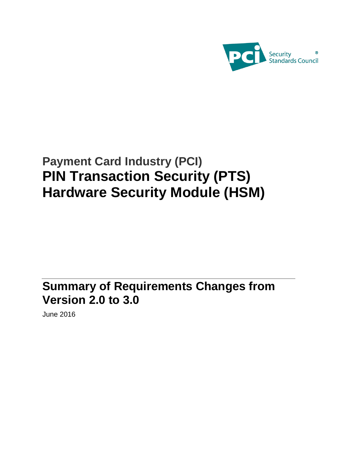

# **Payment Card Industry (PCI) PIN Transaction Security (PTS) Hardware Security Module (HSM)**

**Summary of Requirements Changes from Version 2.0 to 3.0**

June 2016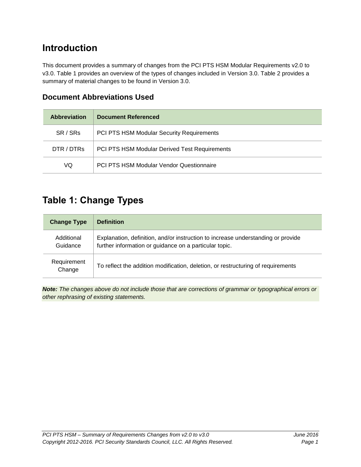### **Introduction**

This document provides a summary of changes from the PCI PTS HSM Modular Requirements v2.0 to v3.0. Table 1 provides an overview of the types of changes included in Version 3.0. Table 2 provides a summary of material changes to be found in Version 3.0.

| <b>Abbreviation</b> | Document Referenced                             |
|---------------------|-------------------------------------------------|
| SR / SRs            | PCI PTS HSM Modular Security Requirements       |
| DTR / DTRs          | PCI PTS HSM Modular Derived Test Requirements   |
| VQ                  | <b>PCI PTS HSM Modular Vendor Questionnaire</b> |

#### **Document Abbreviations Used**

### **Table 1: Change Types**

| <b>Change Type</b>     | <b>Definition</b>                                                                                                                          |
|------------------------|--------------------------------------------------------------------------------------------------------------------------------------------|
| Additional<br>Guidance | Explanation, definition, and/or instruction to increase understanding or provide<br>further information or guidance on a particular topic. |
| Requirement<br>Change  | To reflect the addition modification, deletion, or restructuring of requirements                                                           |

*Note: The changes above do not include those that are corrections of grammar or typographical errors or other rephrasing of existing statements.*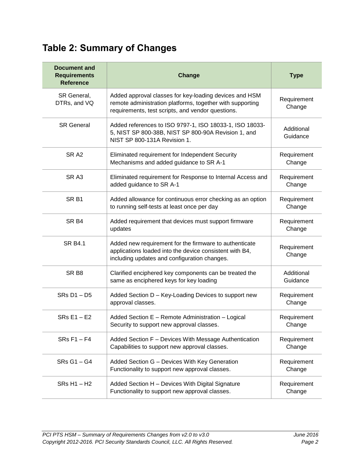## **Table 2: Summary of Changes**

| <b>Document and</b><br><b>Requirements</b><br><b>Reference</b> | Change                                                                                                                                                                   | <b>Type</b>            |
|----------------------------------------------------------------|--------------------------------------------------------------------------------------------------------------------------------------------------------------------------|------------------------|
| SR General,<br>DTRs, and VQ                                    | Added approval classes for key-loading devices and HSM<br>remote administration platforms, together with supporting<br>requirements, test scripts, and vendor questions. | Requirement<br>Change  |
| <b>SR General</b>                                              | Added references to ISO 9797-1, ISO 18033-1, ISO 18033-<br>5, NIST SP 800-38B, NIST SP 800-90A Revision 1, and<br>NIST SP 800-131A Revision 1.                           | Additional<br>Guidance |
| SR <sub>A2</sub>                                               | Eliminated requirement for Independent Security<br>Mechanisms and added guidance to SR A-1                                                                               | Requirement<br>Change  |
| SR <sub>A3</sub>                                               | Eliminated requirement for Response to Internal Access and<br>added guidance to SR A-1                                                                                   | Requirement<br>Change  |
| SR <sub>B1</sub>                                               | Added allowance for continuous error checking as an option<br>to running self-tests at least once per day                                                                | Requirement<br>Change  |
| SR <sub>B4</sub>                                               | Added requirement that devices must support firmware<br>updates                                                                                                          | Requirement<br>Change  |
| <b>SR B4.1</b>                                                 | Added new requirement for the firmware to authenticate<br>applications loaded into the device consistent with B4,<br>including updates and configuration changes.        | Requirement<br>Change  |
| SR <sub>B8</sub>                                               | Clarified enciphered key components can be treated the<br>same as enciphered keys for key loading                                                                        | Additional<br>Guidance |
| SRs D1-D5                                                      | Added Section D - Key-Loading Devices to support new<br>approval classes.                                                                                                | Requirement<br>Change  |
| $SRS E1 - E2$                                                  | Added Section E - Remote Administration - Logical<br>Security to support new approval classes.                                                                           | Requirement<br>Change  |
| SRs F1 - F4                                                    | Added Section F - Devices With Message Authentication<br>Capabilities to support new approval classes.                                                                   | Requirement<br>Change  |
| SRs G1-G4                                                      | Added Section G - Devices With Key Generation<br>Functionality to support new approval classes.                                                                          | Requirement<br>Change  |
| $SRs H1 - H2$                                                  | Added Section H - Devices With Digital Signature<br>Functionality to support new approval classes.                                                                       | Requirement<br>Change  |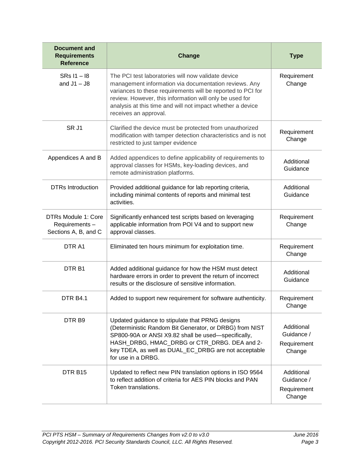| <b>Document and</b><br><b>Requirements</b><br><b>Reference</b> | Change                                                                                                                                                                                                                                                                                                                       | <b>Type</b>                                       |
|----------------------------------------------------------------|------------------------------------------------------------------------------------------------------------------------------------------------------------------------------------------------------------------------------------------------------------------------------------------------------------------------------|---------------------------------------------------|
| SRs I1 - 18<br>and $J1 - J8$                                   | The PCI test laboratories will now validate device<br>management information via documentation reviews. Any<br>variances to these requirements will be reported to PCI for<br>review. However, this information will only be used for<br>analysis at this time and will not impact whether a device<br>receives an approval. | Requirement<br>Change                             |
| SR J1                                                          | Clarified the device must be protected from unauthorized<br>modification with tamper detection characteristics and is not<br>restricted to just tamper evidence                                                                                                                                                              | Requirement<br>Change                             |
| Appendices A and B                                             | Added appendices to define applicability of requirements to<br>approval classes for HSMs, key-loading devices, and<br>remote administration platforms.                                                                                                                                                                       | Additional<br>Guidance                            |
| <b>DTRs Introduction</b>                                       | Provided additional guidance for lab reporting criteria,<br>including minimal contents of reports and minimal test<br>activities.                                                                                                                                                                                            | Additional<br>Guidance                            |
| DTRs Module 1: Core<br>Requirements-<br>Sections A, B, and C   | Significantly enhanced test scripts based on leveraging<br>applicable information from POI V4 and to support new<br>approval classes.                                                                                                                                                                                        | Requirement<br>Change                             |
| DTR A1                                                         | Eliminated ten hours minimum for exploitation time.                                                                                                                                                                                                                                                                          | Requirement<br>Change                             |
| DTR <sub>B1</sub>                                              | Added additional guidance for how the HSM must detect<br>hardware errors in order to prevent the return of incorrect<br>results or the disclosure of sensitive information.                                                                                                                                                  | Additional<br>Guidance                            |
| <b>DTR B4.1</b>                                                | Added to support new requirement for software authenticity.                                                                                                                                                                                                                                                                  | Requirement<br>Change                             |
| DTR <sub>B9</sub>                                              | Updated guidance to stipulate that PRNG designs<br>(Deterministic Random Bit Generator, or DRBG) from NIST<br>SP800-90A or ANSI X9.82 shall be used-specifically,<br>HASH_DRBG, HMAC_DRBG or CTR_DRBG. DEA and 2-<br>key TDEA, as well as DUAL_EC_DRBG are not acceptable<br>for use in a DRBG.                              | Additional<br>Guidance /<br>Requirement<br>Change |
| DTR <sub>B15</sub>                                             | Updated to reflect new PIN translation options in ISO 9564<br>to reflect addition of criteria for AES PIN blocks and PAN<br>Token translations.                                                                                                                                                                              | Additional<br>Guidance /<br>Requirement<br>Change |